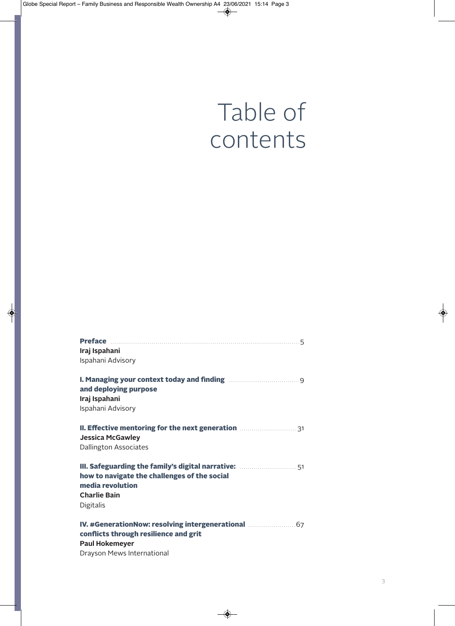## Table of contents

| Iraj Ispahani                                                                                                                                      |
|----------------------------------------------------------------------------------------------------------------------------------------------------|
| Ispahani Advisory                                                                                                                                  |
| <b>I. Managing your context today and finding manually and property and finding</b><br>and deploying purpose<br>Iraj Ispahani<br>Ispahani Advisory |
| II. Effective mentoring for the next generation <b>Manufation</b> 31<br><b>Jessica McGawley</b><br><b>Dallington Associates</b>                    |
| how to navigate the challenges of the social<br>media revolution<br><b>Charlie Bain</b><br><b>Digitalis</b>                                        |
| conflicts through resilience and grit<br><b>Paul Hokemeyer</b><br>Drayson Mews International                                                       |